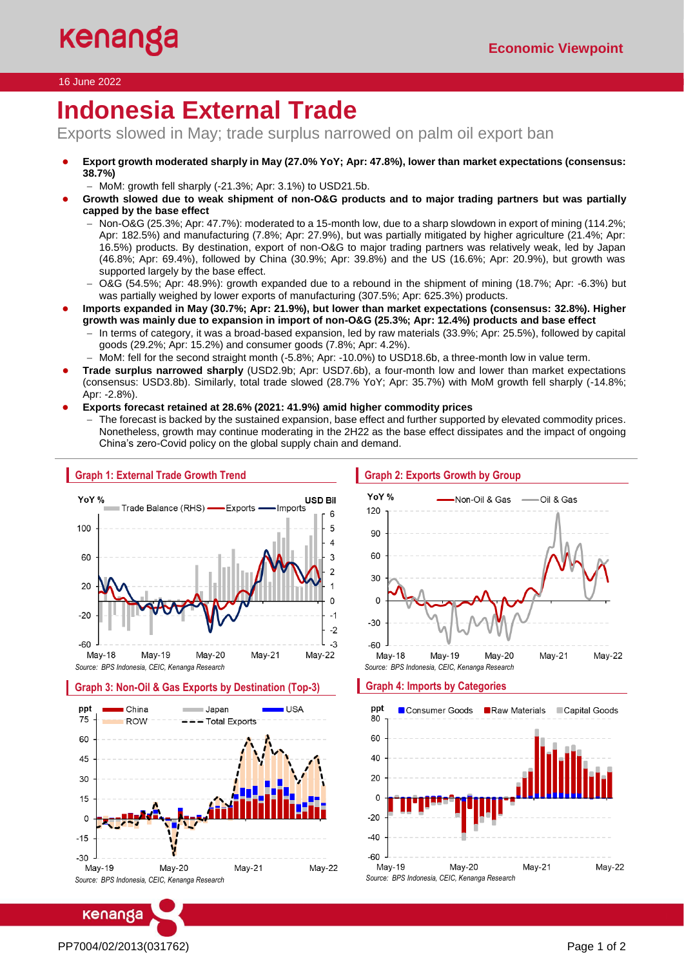### 16 June 2022

# I **Indonesia External Trade**

Exports slowed in May; trade surplus narrowed on palm oil export ban

- Export growth moderated sharply in May (27.0% YoY; Apr: 47.8%), lower than market expectations (consensus: **38.7%)**
	- − MoM: growth fell sharply (-21.3%; Apr: 3.1%) to USD21.5b.
- Growth slowed due to weak shipment of non-O&G products and to major trading partners but was partially **capped by the base effect**
	- − Non-O&G (25.3%; Apr: 47.7%): moderated to a 15-month low, due to a sharp slowdown in export of mining (114.2%; Apr: 182.5%) and manufacturing (7.8%; Apr: 27.9%), but was partially mitigated by higher agriculture (21.4%; Apr: 16.5%) products. By destination, export of non-O&G to major trading partners was relatively weak, led by Japan (46.8%; Apr: 69.4%), followed by China (30.9%; Apr: 39.8%) and the US (16.6%; Apr: 20.9%), but growth was supported largely by the base effect.
	- − O&G (54.5%; Apr: 48.9%): growth expanded due to a rebound in the shipment of mining (18.7%; Apr: -6.3%) but was partially weighed by lower exports of manufacturing (307.5%; Apr: 625.3%) products.
	- **Imports expanded in May (30.7%; Apr: 21.9%), but lower than market expectations (consensus: 32.8%). Higher growth was mainly due to expansion in import of non-O&G (25.3%; Apr: 12.4%) products and base effect**
		- In terms of category, it was a broad-based expansion, led by raw materials (33.9%; Apr: 25.5%), followed by capital goods (29.2%; Apr: 15.2%) and consumer goods (7.8%; Apr: 4.2%).
	- − MoM: fell for the second straight month (-5.8%; Apr: -10.0%) to USD18.6b, a three-month low in value term.
- **Trade surplus narrowed sharply** (USD2.9b; Apr: USD7.6b), a four-month low and lower than market expectations (consensus: USD3.8b). Similarly, total trade slowed (28.7% YoY; Apr: 35.7%) with MoM growth fell sharply (-14.8%; Apr: -2.8%).
- **Exports forecast retained at 28.6% (2021: 41.9%) amid higher commodity prices**
	- The forecast is backed by the sustained expansion, base effect and further supported by elevated commodity prices. Nonetheless, growth may continue moderating in the 2H22 as the base effect dissipates and the impact of ongoing China's zero-Covid policy on the global supply chain and demand.



*Source: BPS Indonesia, CEIC, Kenanga Research*

 $Mav-21$ **Mav-22** *Source: BPS Indonesia, CEIC, Kenanga Research*

## PP7004/02/2013(031762) Page 1 of 2

kenanga